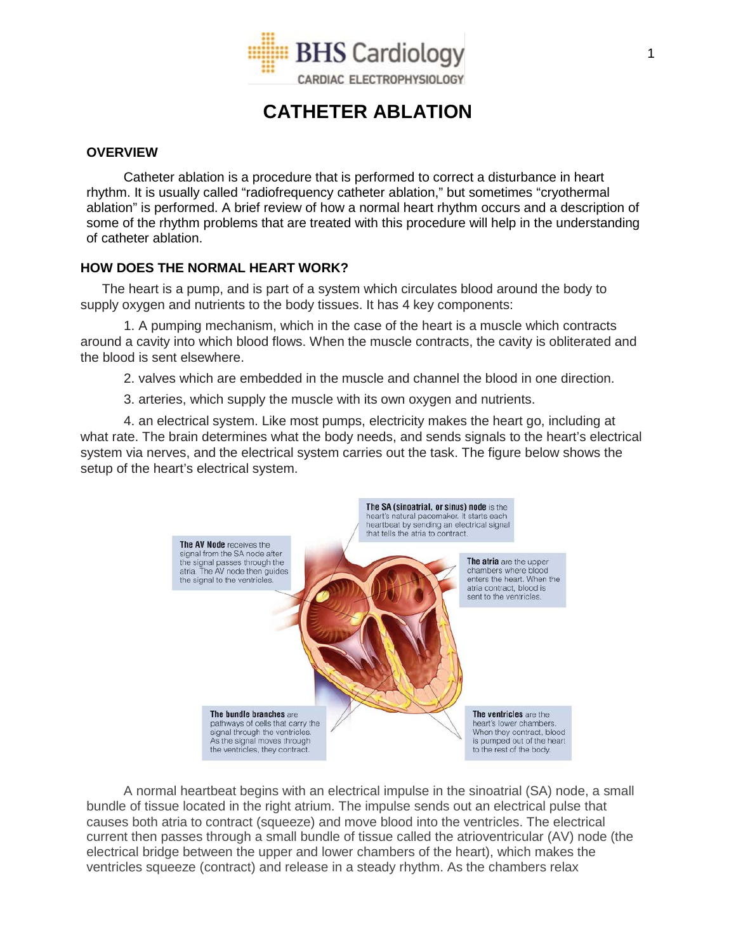

# **CATHETER ABLATION**

## **OVERVIEW**

Catheter ablation is a procedure that is performed to correct a disturbance in heart rhythm. It is usually called "radiofrequency catheter ablation," but sometimes "cryothermal ablation" is performed. A brief review of how a normal heart rhythm occurs and a description of some of the rhythm problems that are treated with this procedure will help in the understanding of catheter ablation.

# **HOW DOES THE NORMAL HEART WORK?**

The heart is a pump, and is part of a system which circulates blood around the body to supply oxygen and nutrients to the body tissues. It has 4 key components:

1. A pumping mechanism, which in the case of the heart is a muscle which contracts around a cavity into which blood flows. When the muscle contracts, the cavity is obliterated and the blood is sent elsewhere.

2. valves which are embedded in the muscle and channel the blood in one direction.

3. arteries, which supply the muscle with its own oxygen and nutrients.

4. an electrical system. Like most pumps, electricity makes the heart go, including at what rate. The brain determines what the body needs, and sends signals to the heart's electrical system via nerves, and the electrical system carries out the task. The figure below shows the setup of the heart's electrical system.



A normal heartbeat begins with an electrical impulse in the sinoatrial (SA) node, a small bundle of tissue located in the right atrium. The impulse sends out an electrical pulse that causes both atria to contract (squeeze) and move blood into the ventricles. The electrical current then passes through a small bundle of tissue called the atrioventricular (AV) node (the electrical bridge between the upper and lower chambers of the heart), which makes the ventricles squeeze (contract) and release in a steady rhythm. As the chambers relax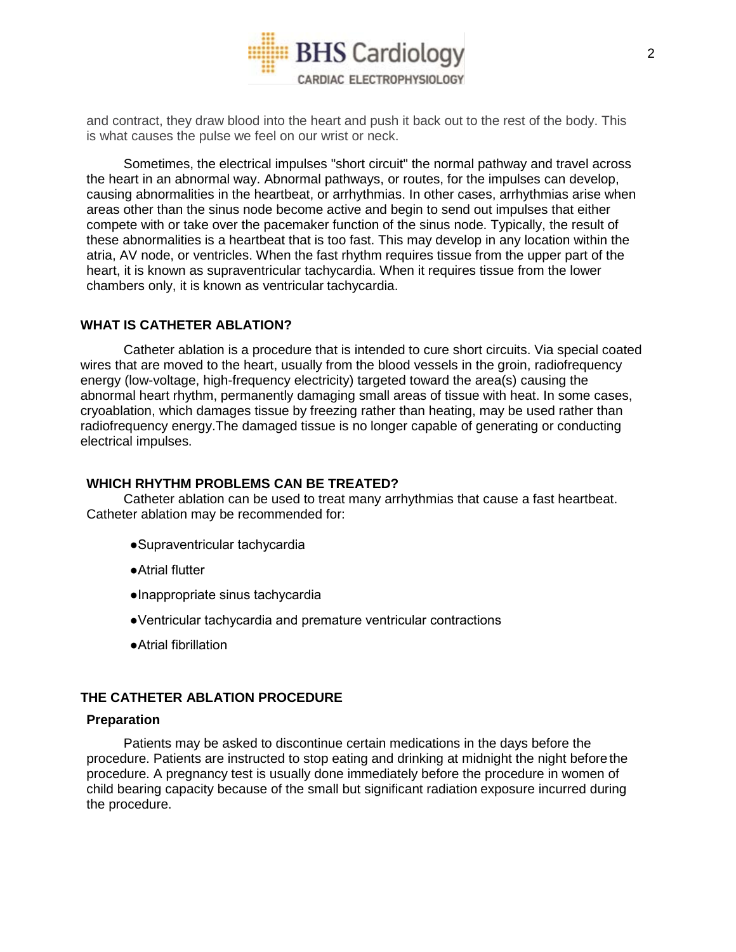

and contract, they draw blood into the heart and push it back out to the rest of the body. This is what causes the pulse we feel on our wrist or neck.

Sometimes, the electrical impulses "short circuit" the normal pathway and travel across the heart in an abnormal way. Abnormal pathways, or routes, for the impulses can develop, causing abnormalities in the heartbeat, or arrhythmias. In other cases, arrhythmias arise when areas other than the sinus node become active and begin to send out impulses that either compete with or take over the pacemaker function of the sinus node. Typically, the result of these abnormalities is a heartbeat that is too fast. This may develop in any location within the atria, AV node, or ventricles. When the fast rhythm requires tissue from the upper part of the heart, it is known as supraventricular tachycardia. When it requires tissue from the lower chambers only, it is known as ventricular tachycardia.

# **WHAT IS CATHETER ABLATION?**

Catheter ablation is a procedure that is intended to cure short circuits. Via special coated wires that are moved to the heart, usually from the blood vessels in the groin, radiofrequency energy (low-voltage, high-frequency electricity) targeted toward the area(s) causing the abnormal heart rhythm, permanently damaging small areas of tissue with heat. In some cases, cryoablation, which damages tissue by freezing rather than heating, may be used rather than radiofrequency energy.The damaged tissue is no longer capable of generating or conducting electrical impulses.

## **WHICH RHYTHM PROBLEMS CAN BE TREATED?**

Catheter ablation can be used to treat many arrhythmias that cause a fast heartbeat. Catheter ablation may be recommended for:

- ●Supraventricular tachycardia
- ●Atrial flutter
- ●Inappropriate sinus tachycardia
- ●Ventricular tachycardia and premature ventricular contractions
- ●Atrial fibrillation

## **THE CATHETER ABLATION PROCEDURE**

#### **Preparation**

Patients may be asked to discontinue certain medications in the days before the procedure. Patients are instructed to stop eating and drinking at midnight the night beforethe procedure. A pregnancy test is usually done immediately before the procedure in women of child bearing capacity because of the small but significant radiation exposure incurred during the procedure.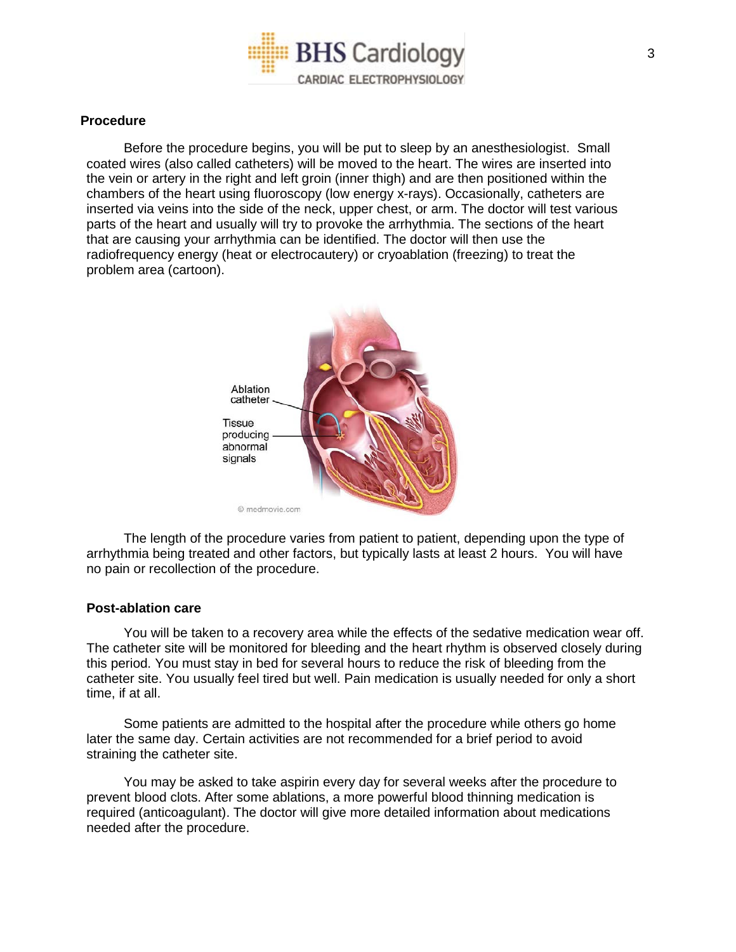

#### **Procedure**

Before the procedure begins, you will be put to sleep by an anesthesiologist. Small coated wires (also called catheters) will be moved to the heart. The wires are inserted into the vein or artery in the right and left groin (inner thigh) and are then positioned within the chambers of the heart using fluoroscopy (low energy x-rays). Occasionally, catheters are inserted via veins into the side of the neck, upper chest, or arm. The doctor will test various parts of the heart and usually will try to provoke the arrhythmia. The sections of the heart that are causing your arrhythmia can be identified. The doctor will then use the radiofrequency energy (heat or electrocautery) or cryoablation (freezing) to treat the problem area (cartoon).



The length of the procedure varies from patient to patient, depending upon the type of arrhythmia being treated and other factors, but typically lasts at least 2 hours. You will have no pain or recollection of the procedure.

#### **Post-ablation care**

You will be taken to a recovery area while the effects of the sedative medication wear off. The catheter site will be monitored for bleeding and the heart rhythm is observed closely during this period. You must stay in bed for several hours to reduce the risk of bleeding from the catheter site. You usually feel tired but well. Pain medication is usually needed for only a short time, if at all.

Some patients are admitted to the hospital after the procedure while others go home later the same day. Certain activities are not recommended for a brief period to avoid straining the catheter site.

You may be asked to take aspirin every day for several weeks after the procedure to prevent blood clots. After some ablations, a more powerful blood thinning medication is required (anticoagulant). The doctor will give more detailed information about medications needed after the procedure.